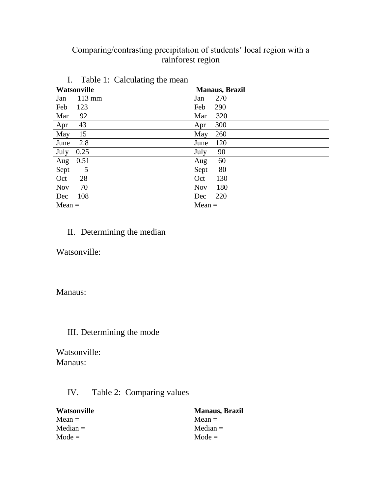# Comparing/contrasting precipitation of students' local region with a rainforest region

| Watsonville      | <b>Manaus</b> , Brazil |
|------------------|------------------------|
| $113 \text{ mm}$ | 270                    |
| Jan              | Jan                    |
| Feb              | Feb                    |
| 123              | 290                    |
| 92               | 320                    |
| Mar              | Mar                    |
| 43               | 300                    |
| Apr              | Apr                    |
| 15               | 260                    |
| May              | May                    |
| 2.8              | 120                    |
| June             | June                   |
| July             | 90                     |
| 0.25             | July                   |
| 0.51             | 60                     |
| Aug              | Aug                    |
| 5                | 80                     |
| Sept             | Sept                   |
| 28               | 130                    |
| Oct              | Oct                    |
| 70               | 180                    |
| <b>Nov</b>       | <b>Nov</b>             |
| 108              | 220                    |
| Dec              | Dec                    |
| $Mean =$         | $Mean =$               |

I. Table  $1:$  Calculating the mean

## II. Determining the median

Watsonville:

Manaus:

### III. Determining the mode

Watsonville: Manaus:

### IV. Table 2: Comparing values

| Watsonville | <b>Manaus, Brazil</b> |
|-------------|-----------------------|
| $Mean =$    | $Mean =$              |
| $Median =$  | Median $=$            |
| $Mode =$    | $Mode =$              |